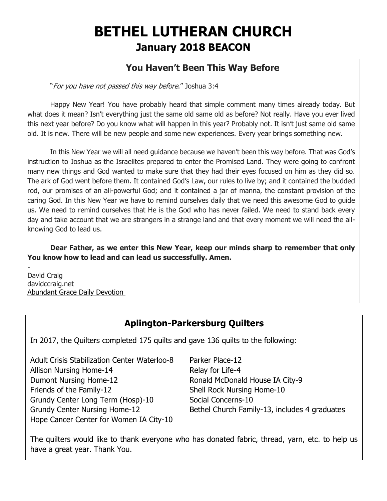# **BETHEL LUTHERAN CHURCH January 2018 BEACON**

# **You Haven't Been This Way Before**

"For you have not passed this way before." Joshua 3:4

Happy New Year! You have probably heard that simple comment many times already today. But what does it mean? Isn't everything just the same old same old as before? Not really. Have you ever lived this next year before? Do you know what will happen in this year? Probably not. It isn't just same old same old. It is new. There will be new people and some new experiences. Every year brings something new.

In this New Year we will all need guidance because we haven't been this way before. That was God's instruction to Joshua as the Israelites prepared to enter the Promised Land. They were going to confront many new things and God wanted to make sure that they had their eyes focused on him as they did so. The ark of God went before them. It contained God's Law, our rules to live by; and it contained the budded rod, our promises of an all-powerful God; and it contained a jar of manna, the constant provision of the caring God. In this New Year we have to remind ourselves daily that we need this awesome God to guide us. We need to remind ourselves that He is the God who has never failed. We need to stand back every day and take account that we are strangers in a strange land and that every moment we will need the allknowing God to lead us.

**Dear Father, as we enter this New Year, keep our minds sharp to remember that only You know how to lead and can lead us successfully. Amen.**

- David Craig davidccraig.net [Abundant Grace Daily Devotion](http://adoringgrace.blogspot.com/)

# **Aplington-Parkersburg Quilters**

In 2017, the Quilters completed 175 quilts and gave 136 quilts to the following:

Adult Crisis Stabilization Center Waterloo-8 Parker Place-12 Allison Nursing Home-14 Relay for Life-4 Dumont Nursing Home-12 Ronald McDonald House IA City-9 Friends of the Family-12 Shell Rock Nursing Home-10 Grundy Center Long Term (Hosp)-10 Social Concerns-10 Hope Cancer Center for Women IA City-10

Grundy Center Nursing Home-12 Bethel Church Family-13, includes 4 graduates

The quilters would like to thank everyone who has donated fabric, thread, yarn, etc. to help us have a great year. Thank You.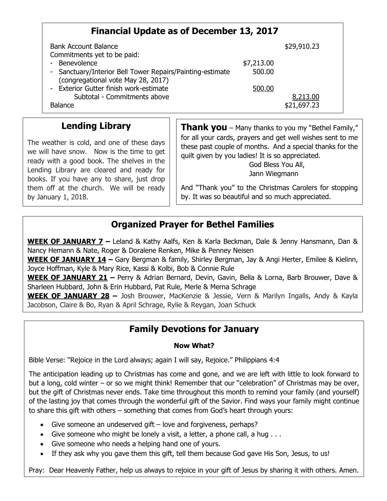# **Financial Update as of December 13, 2017**

| <b>Bank Account Balance</b>                               |            | \$29,910.23 |
|-----------------------------------------------------------|------------|-------------|
| Commitments yet to be paid:                               |            |             |
| - Benevolence                                             | \$7,213.00 |             |
| - Sanctuary/Interior Bell Tower Repairs/Painting-estimate | 500.00     |             |
| (congregational vote May 28, 2017)                        |            |             |
| - Exterior Gutter finish work-estimate                    | 500.00     |             |
| Subtotal - Commitments above                              |            | 8,213.00    |
| <b>Balance</b>                                            |            | \$21,697.23 |

### **Lending Library**

The weather is cold, and one of these days we will have snow. Now is the time to get ready with a good book. The shelves in the Lending Library are cleared and ready for books. If you have any to share, just drop them off at the church. We will be ready by January 1, 2018.

**Thank you** – Many thanks to you my "Bethel Family," for all your cards, prayers and get well wishes sent to me these past couple of months. And a special thanks for the quilt given by you ladies! It is so appreciated. God Bless You All,

Jann Wiegmann

And "Thank you" to the Christmas Carolers for stopping by. It was so beautiful and so much appreciated.

### **Organized Prayer for Bethel Families**

**WEEK OF JANUARY 7 –** Leland & Kathy Aalfs, Ken & Karla Beckman, Dale & Jenny Hansmann, Dan & Nancy Hemann & Nate, Roger & Doralene Renken, Mike & Penney Neisen

**WEEK OF JANUARY 14 –** Gary Bergman & family, Shirley Bergman, Jay & Angi Herter, Emilee & Kielinn, Joyce Hoffman, Kyle & Mary Rice, Kassi & Kolbi, Bob & Connie Rule

**WEEK OF JANUARY 21 –** Perry & Adrian Bernard, Devin, Gavin, Bella & Lorna, Barb Brouwer, Dave & Sharleen Hubbard, John & Erin Hubbard, Pat Rule, Merle & Merna Schrage

**WEEK OF JANUARY 28 –** Josh Brouwer, MacKenzie & Jessie, Vern & Marilyn Ingalls, Andy & Kayla Jacobson, Claire & Bo, Ryan & April Schrage, Rylie & Reygan, Joan Schuck

# **Family Devotions for January**

#### **Now What?**

Bible Verse: "Rejoice in the Lord always; again I will say, Rejoice." Philippians 4:4

The anticipation leading up to Christmas has come and gone, and we are left with little to look forward to but a long, cold winter – or so we might think! Remember that our "celebration" of Christmas may be over, but the gift of Christmas never ends. Take time throughout this month to remind your family (and yourself) of the lasting joy that comes through the wonderful gift of the Savior. Find ways your family might continue to share this gift with others – something that comes from God's heart through yours:

- Give someone an undeserved gift love and forgiveness, perhaps?
- Give someone who might be lonely a visit, a letter, a phone call, a hug . . .
- Give someone who needs a helping hand one of yours.
- If they ask why you gave them this gift, tell them because God gave His Son, Jesus, to us!

Pray: Dear Heavenly Father, help us always to rejoice in your gift of Jesus by sharing it with others. Amen.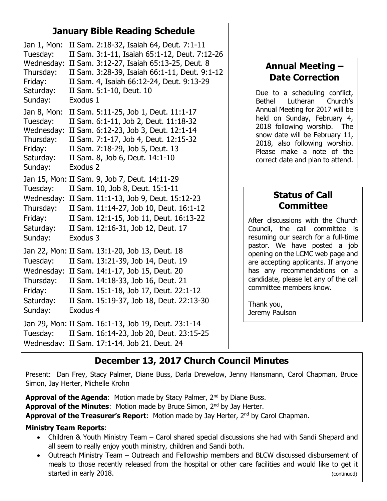# **January Bible Reading Schedule**

Jan 1, Mon: II Sam. 2:18-32, Isaiah 64, Deut. 7:1-11 Tuesday: II Sam. 3:1-11, Isaiah 65:1-12, Deut. 7:12-26 Wednesday: II Sam. 3:12-27, Isaiah 65:13-25, Deut. 8 Thursday: II Sam. 3:28-39, Isaiah 66:1-11, Deut. 9:1-12 Friday: II Sam. 4, Isaiah 66:12-24, Deut. 9:13-29 Saturday: II Sam. 5:1-10, Deut. 10 Sunday: Exodus 1 Jan 8, Mon: II Sam. 5:11-25, Job 1, Deut. 11:1-17 Tuesday: II Sam. 6:1-11, Job 2, Deut. 11:18-32 Wednesday: II Sam. 6:12-23, Job 3, Deut. 12:1-14 Thursday: II Sam. 7:1-17, Job 4, Deut. 12:15-32 Friday: II Sam. 7:18-29, Job 5, Deut. 13 Saturday: II Sam. 8, Job 6, Deut. 14:1-10 Sunday: Exodus 2 Jan 15, Mon: II Sam. 9, Job 7, Deut. 14:11-29 Tuesday: II Sam. 10, Job 8, Deut. 15:1-11 Wednesday: II Sam. 11:1-13, Job 9, Deut. 15:12-23 Thursday: II Sam. 11:14-27, Job 10, Deut. 16:1-12 Friday: II Sam. 12:1-15, Job 11, Deut. 16:13-22 Saturday: II Sam. 12:16-31, Job 12, Deut. 17 Sunday: Exodus 3 Jan 22, Mon: II Sam. 13:1-20, Job 13, Deut. 18 Tuesday: II Sam. 13:21-39, Job 14, Deut. 19 Wednesday: II Sam. 14:1-17, Job 15, Deut. 20 Thursday: II Sam. 14:18-33, Job 16, Deut. 21 Friday: II Sam. 15:1-18, Job 17, Deut. 22:1-12 Saturday: II Sam. 15:19-37, Job 18, Deut. 22:13-30 Sunday: Exodus 4 Jan 29, Mon: II Sam. 16:1-13, Job 19, Deut. 23:1-14 Tuesday: II Sam. 16:14-23, Job 20, Deut. 23:15-25 Wednesday: II Sam. 17:1-14, Job 21, Deut. 24

# **Annual Meeting – Date Correction**

Due to a scheduling conflict, Bethel Lutheran Church's Annual Meeting for 2017 will be held on Sunday, February 4, 2018 following worship. The snow date will be February 11, 2018, also following worship. Please make a note of the correct date and plan to attend.

# **Status of Call Committee**

After discussions with the Church Council, the call committee is resuming our search for a full-time pastor. We have posted a job opening on the LCMC web page and are accepting applicants. If anyone has any recommendations on a candidate, please let any of the call committee members know.

Thank you, Jeremy Paulson

# **December 13, 2017 Church Council Minutes**

Present: Dan Frey, Stacy Palmer, Diane Buss, Darla Drewelow, Jenny Hansmann, Carol Chapman, Bruce Simon, Jay Herter, Michelle Krohn

**Approval of the Agenda:** Motion made by Stacy Palmer, 2<sup>nd</sup> by Diane Buss. **Approval of the Minutes:** Motion made by Bruce Simon, 2<sup>nd</sup> by Jay Herter. **Approval of the Treasurer's Report:** Motion made by Jay Herter, 2<sup>nd</sup> by Carol Chapman.

### **Ministry Team Reports**:

- Children & Youth Ministry Team Carol shared special discussions she had with Sandi Shepard and all seem to really enjoy youth ministry, children and Sandi both.
- Outreach Ministry Team Outreach and Fellowship members and BLCW discussed disbursement of meals to those recently released from the hospital or other care facilities and would like to get it started in early 2018. (Continued)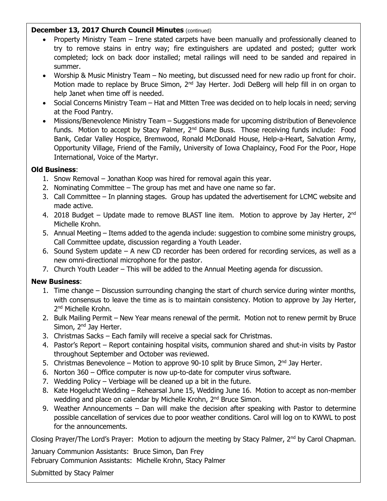#### **December 13, 2017 Church Council Minutes** (continued)

- Property Ministry Team Irene stated carpets have been manually and professionally cleaned to try to remove stains in entry way; fire extinguishers are updated and posted; gutter work completed; lock on back door installed; metal railings will need to be sanded and repaired in summer.
- Worship & Music Ministry Team No meeting, but discussed need for new radio up front for choir. Motion made to replace by Bruce Simon, 2<sup>nd</sup> Jay Herter. Jodi DeBerg will help fill in on organ to help Janet when time off is needed.
- Social Concerns Ministry Team Hat and Mitten Tree was decided on to help locals in need; serving at the Food Pantry.
- Missions/Benevolence Ministry Team Suggestions made for upcoming distribution of Benevolence funds. Motion to accept by Stacy Palmer, 2<sup>nd</sup> Diane Buss. Those receiving funds include: Food Bank, Cedar Valley Hospice, Bremwood, Ronald McDonald House, Help-a-Heart, Salvation Army, Opportunity Village, Friend of the Family, University of Iowa Chaplaincy, Food For the Poor, Hope International, Voice of the Martyr.

#### **Old Business**:

- 1. Snow Removal Jonathan Koop was hired for removal again this year.
- 2. Nominating Committee The group has met and have one name so far.
- 3. Call Committee In planning stages. Group has updated the advertisement for LCMC website and made active.
- 4. 2018 Budget Update made to remove BLAST line item. Motion to approve by Jay Herter,  $2^{nd}$ Michelle Krohn.
- 5. Annual Meeting Items added to the agenda include: suggestion to combine some ministry groups, Call Committee update, discussion regarding a Youth Leader.
- 6. Sound System update A new CD recorder has been ordered for recording services, as well as a new omni-directional microphone for the pastor.
- 7. Church Youth Leader This will be added to the Annual Meeting agenda for discussion.

### **New Business**:

- 1. Time change Discussion surrounding changing the start of church service during winter months, with consensus to leave the time as is to maintain consistency. Motion to approve by Jay Herter, 2<sup>nd</sup> Michelle Krohn.
- 2. Bulk Mailing Permit New Year means renewal of the permit. Motion not to renew permit by Bruce Simon, 2<sup>nd</sup> Jay Herter.
- 3. Christmas Sacks Each family will receive a special sack for Christmas.
- 4. Pastor's Report Report containing hospital visits, communion shared and shut-in visits by Pastor throughout September and October was reviewed.
- 5. Christmas Benevolence Motion to approve 90-10 split by Bruce Simon,  $2^{nd}$  Jay Herter.
- 6. Norton 360 Office computer is now up-to-date for computer virus software.
- 7. Wedding Policy Verbiage will be cleaned up a bit in the future.
- 8. Kate Hogelucht Wedding Rehearsal June 15, Wedding June 16. Motion to accept as non-member wedding and place on calendar by Michelle Krohn, 2<sup>nd</sup> Bruce Simon.
- 9. Weather Announcements Dan will make the decision after speaking with Pastor to determine possible cancellation of services due to poor weather conditions. Carol will log on to KWWL to post for the announcements.

Closing Prayer/The Lord's Prayer: Motion to adjourn the meeting by Stacy Palmer, 2<sup>nd</sup> by Carol Chapman.

January Communion Assistants: Bruce Simon, Dan Frey

February Communion Assistants: Michelle Krohn, Stacy Palmer

Submitted by Stacy Palmer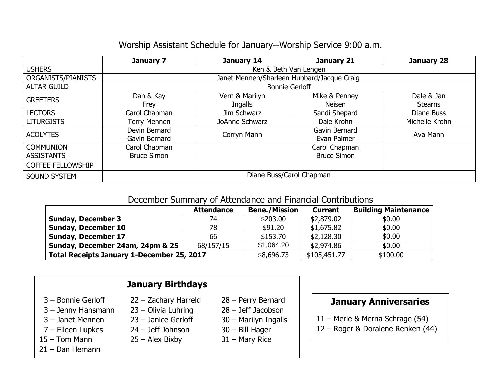## Worship Assistant Schedule for January--Worship Service 9:00 a.m.

|                          | January 7                                  | January 14     | January 21         | January 28     |  |  |
|--------------------------|--------------------------------------------|----------------|--------------------|----------------|--|--|
| <b>USHERS</b>            | Ken & Beth Van Lengen                      |                |                    |                |  |  |
| ORGANISTS/PIANISTS       | Janet Mennen/Sharleen Hubbard/Jacque Craig |                |                    |                |  |  |
| <b>ALTAR GUILD</b>       | <b>Bonnie Gerloff</b>                      |                |                    |                |  |  |
| <b>GREETERS</b>          | Dan & Kay                                  | Vern & Marilyn | Mike & Penney      | Dale & Jan     |  |  |
|                          | Frey                                       | Ingalls        | Neisen             | <b>Stearns</b> |  |  |
| <b>LECTORS</b>           | Carol Chapman                              | Jim Schwarz    | Sandi Shepard      | Diane Buss     |  |  |
| <b>LITURGISTS</b>        | Terry Mennen                               | JoAnne Schwarz | Dale Krohn         | Michelle Krohn |  |  |
| <b>ACOLYTES</b>          | Devin Bernard                              | Corryn Mann    | Gavin Bernard      | Ava Mann       |  |  |
|                          | Gavin Bernard                              |                | Evan Palmer        |                |  |  |
| <b>COMMUNION</b>         | Carol Chapman                              |                | Carol Chapman      |                |  |  |
| <b>ASSISTANTS</b>        | <b>Bruce Simon</b>                         |                | <b>Bruce Simon</b> |                |  |  |
| <b>COFFEE FELLOWSHIP</b> |                                            |                |                    |                |  |  |
| <b>SOUND SYSTEM</b>      | Diane Buss/Carol Chapman                   |                |                    |                |  |  |

### December Summary of Attendance and Financial Contributions

|                                                   | <b>Attendance</b> | <b>Bene./Mission</b> | <b>Current</b> | <b>Building Maintenance</b> |  |
|---------------------------------------------------|-------------------|----------------------|----------------|-----------------------------|--|
| <b>Sunday, December 3</b>                         | 74                | \$203.00             | \$2,879.02     | \$0.00                      |  |
| <b>Sunday, December 10</b>                        | 78                | \$91.20              | \$1,675.82     | \$0.00                      |  |
| <b>Sunday, December 17</b>                        | 66                | \$153.70             | \$2,128.30     | \$0.00                      |  |
| Sunday, December 24am, 24pm & 25                  | 68/157/15         | \$1,064.20           | \$2,974.86     | \$0.00                      |  |
| <b>Total Receipts January 1-December 25, 2017</b> |                   | \$8,696.73           | \$105,451.77   | \$100.00                    |  |

# **January Birthdays** 3 – Bonnie Gerloff 22 – Zachary Harreld 28 – Perry Bernard 3 – Jenny Hansmann 23 – Olivia Luhring 28 – Jeff Jacobson 3 – Janet Mennen 23 – Janice Gerloff 30 – Marilyn Ingalls 7 – Eileen Lupkes 24 – Jeff Johnson 30 – Bill Hager 15 – Tom Mann 25 – Alex Bixby 31 – Mary Rice 21 – Dan Hemann

- 
- 
- 
- 
- 

# **January Anniversaries**

- 11 Merle & Merna Schrage (54)
- 12 Roger & Doralene Renken (44)